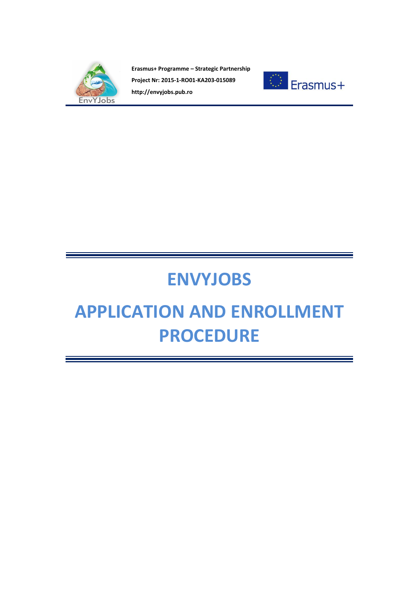



## **ENVYJOBS**

# **APPLICATION AND ENROLLMENT PROCEDURE**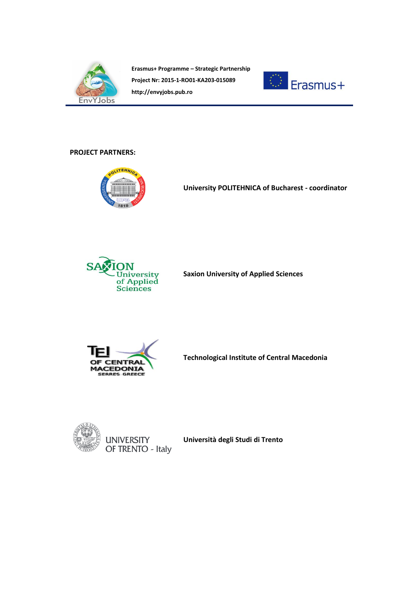



**PROJECT PARTNERS:**



**University POLITEHNICA of Bucharest - coordinator**



**Saxion University of Applied Sciences**



**Technological Institute of Central Macedonia**



**UNIVERSITY** OF TRENTO - Italy

**Università degli Studi di Trento**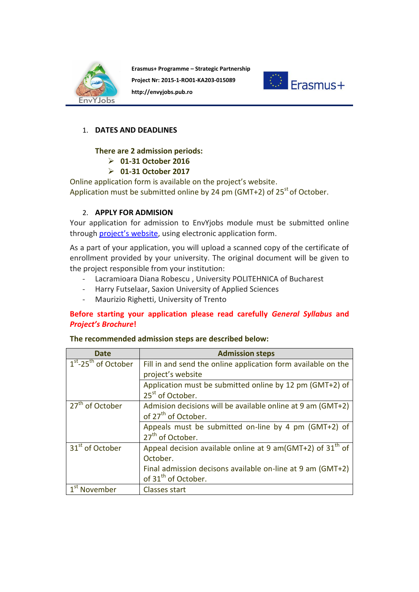



## 1. **DATES AND DEADLINES**

#### **There are 2 admission periods:**

- **01-31 October 2016**
- **01-31 October 2017**

Online application form is available on the project's website. Application must be submitted online by 24 pm (GMT+2) of 25<sup>st</sup> of October.

#### 2. **APPLY FOR ADMISION**

Your application for admission to EnvYjobs module must be submitted online through [project's](https://envyjobs.pub.ro/) website, using electronic application form.

As a part of your application, you will upload a scanned copy of the certificate of enrollment provided by your university. The original document will be given to the project responsible from your institution:

- Lacramioara Diana Robescu , University POLITEHNICA of Bucharest
- Harry Futselaar, Saxion University of Applied Sciences
- Maurizio Righetti, University of Trento

## **Before starting your application please read carefully** *General Syllabus* **and**  *Project's Brochure***!**

| <b>Date</b>                 | <b>Admission steps</b>                                        |
|-----------------------------|---------------------------------------------------------------|
| $1st - 25th$ of October     | Fill in and send the online application form available on the |
|                             | project's website                                             |
|                             | Application must be submitted online by 12 pm (GMT+2) of      |
|                             | 25 <sup>st</sup> of October.                                  |
| 27 <sup>th</sup> of October | Admision decisions will be available online at 9 am (GMT+2)   |
|                             | of 27 <sup>th</sup> of October.                               |
|                             | Appeals must be submitted on-line by 4 pm (GMT+2) of          |
|                             | 27 <sup>th</sup> of October.                                  |
| 31 <sup>st</sup> of October | Appeal decision available online at 9 am(GMT+2) of $31th$ of  |
|                             | October.                                                      |
|                             | Final admission decisons available on-line at 9 am (GMT+2)    |
|                             | of 31 <sup>th</sup> of October.                               |
| November                    | <b>Classes start</b>                                          |

#### **The recommended admission steps are described below:**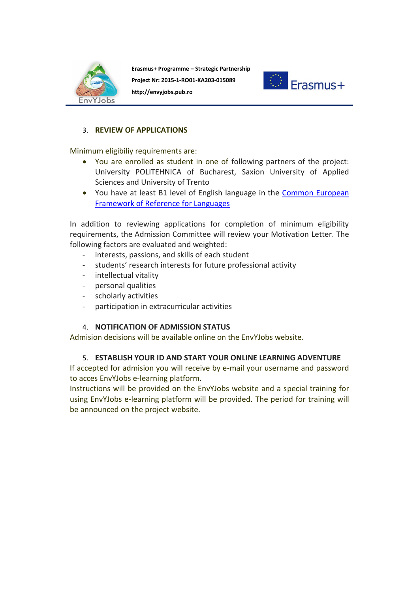



## 3. **REVIEW OF APPLICATIONS**

Minimum eligibiliy requirements are:

- You are enrolled as student in one of following partners of the project: University POLITEHNICA of Bucharest, Saxion University of Applied Sciences and University of Trento
- You have at least B1 level of English language in the [Common European](http://europass.cedefop.europa.eu/LanguageSelfAssessmentGrid/en)  [Framework of Reference for Languages](http://europass.cedefop.europa.eu/LanguageSelfAssessmentGrid/en)

In addition to reviewing applications for completion of minimum eligibility requirements, the Admission Committee will review your Motivation Letter. The following factors are evaluated and weighted:

- interests, passions, and skills of each student
- students' research interests for future professional activity
- intellectual vitality
- personal qualities
- scholarly activities
- participation in extracurricular activities

### 4. **NOTIFICATION OF ADMISSION STATUS**

Admision decisions will be available online on the EnvYJobs website.

## 5. **ESTABLISH YOUR ID AND START YOUR ONLINE LEARNING ADVENTURE**

If accepted for admision you will receive by e-mail your username and password to acces EnvYJobs e-learning platform.

Instructions will be provided on the EnvYJobs website and a special training for using EnvYJobs e-learning platform will be provided. The period for training will be announced on the project website.